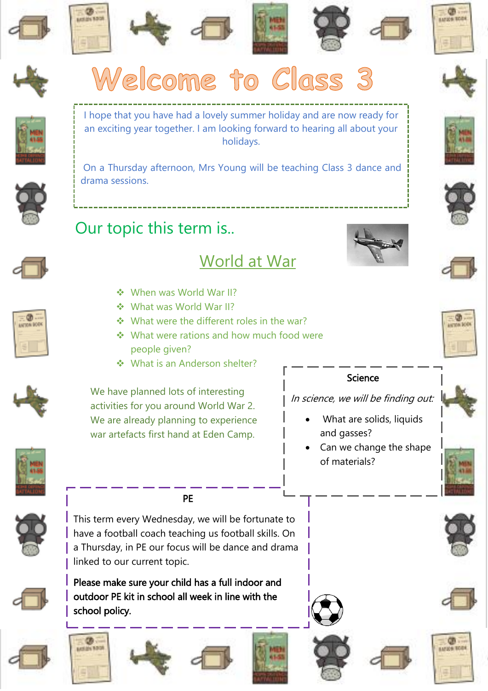







## Science

In science, we will be finding out:

- What are solids, liquids and gasses?
- Can we change the shape of materials?







O. 11229-1004